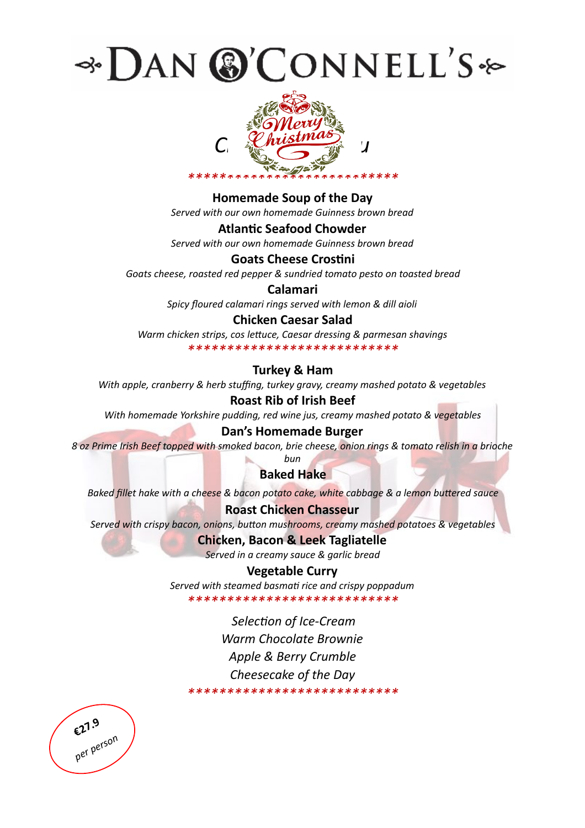



**Homemade Soup of the Day** 

Served with our own homemade Guinness brown bread

**Atlantic Seafood Chowder** 

Served with our own homemade Guinness brown bread

## **Goats Cheese Crostini**

Goats cheese, roasted red pepper & sundried tomato pesto on toasted bread

## Calamari

Spicy floured calamari rings served with lemon & dill aioli

## **Chicken Caesar Salad**

Warm chicken strips, cos lettuce, Caesar dressing & parmesan shavings \*\*\*\*\*\*\*\*\*\*\*\*\*\*\*\*\*\*\*\*\*\*\*\*\*\*\*

## **Turkey & Ham**

With apple, cranberry & herb stuffing, turkey gravy, creamy mashed potato & vegetables

## **Roast Rib of Irish Beef**

With homemade Yorkshire pudding, red wine jus, creamy mashed potato & vegetables

#### Dan's Homemade Burger

8 oz Prime Irish Beef topped with smoked bacon, brie cheese, onion rings & tomato relish in a brioche bun

## **Baked Hake**

Baked fillet hake with a cheese & bacon potato cake, white cabbage & a lemon buttered sauce

## **Roast Chicken Chasseur**

Served with crispy bacon, onions, button mushrooms, creamy mashed potatoes & vegetables

## **Chicken, Bacon & Leek Tagliatelle**

Served in a creamy sauce & garlic bread

## **Vegetable Curry**

Served with steamed basmati rice and crispy poppadum \*\*\*\*\*\*\*\*\*\*\*\*\*\*\*\*\*\*\*\*\*\*\*\*\*\*\*

Selection of Ice-Cream Warm Chocolate Brownie Apple & Berry Crumble Cheesecake of the Day \*\*\*\*\*\*\*\*\*\*\*\*\*\*\*\*\*\*\*\*\*\*\*\*\*\*\*

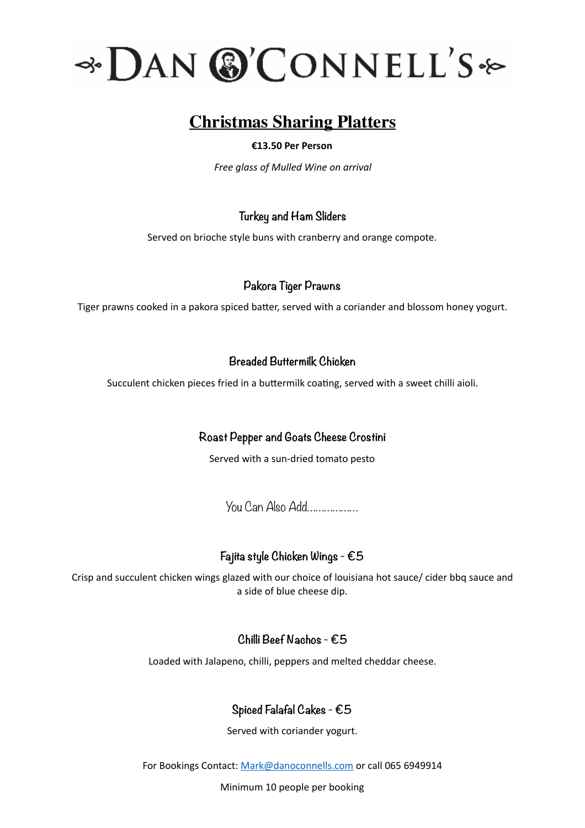

# **Christmas Sharing Platters**

## **€13.50 Per Person**

*Free glass of Mulled Wine on arrival* 

# **Turkey and Ham Sliders**

Served on brioche style buns with cranberry and orange compote.

# **Pakora Tiger Prawns**

Tiger prawns cooked in a pakora spiced batter, served with a coriander and blossom honey yogurt.

# **Breaded Buttermilk Chicken**

Succulent chicken pieces fried in a buttermilk coating, served with a sweet chilli aioli.

# **Roast Pepper and Goats Cheese Crostini**

Served with a sun-dried tomato pesto

You Can Also Add………………

# **Fajita style Chicken Wings - €5**

Crisp and succulent chicken wings glazed with our choice of louisiana hot sauce/ cider bbq sauce and a side of blue cheese dip.

# **Chilli Beef Nachos - €5**

Loaded with Jalapeno, chilli, peppers and melted cheddar cheese.

# **Spiced Falafal Cakes - €5**

Served with coriander yogurt.

For Bookings Contact: Mark@danoconnells.com or call 065 6949914

Minimum 10 people per booking